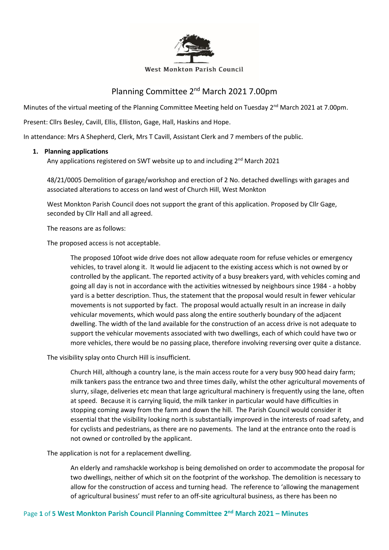

#### West Monkton Parish Council

# Planning Committee 2<sup>nd</sup> March 2021 7.00pm

Minutes of the virtual meeting of the Planning Committee Meeting held on Tuesday 2<sup>nd</sup> March 2021 at 7.00pm.

Present: Cllrs Besley, Cavill, Ellis, Elliston, Gage, Hall, Haskins and Hope.

In attendance: Mrs A Shepherd, Clerk, Mrs T Cavill, Assistant Clerk and 7 members of the public.

### **1. Planning applications**

Any applications registered on SWT website up to and including 2<sup>nd</sup> March 2021

48/21/0005 Demolition of garage/workshop and erection of 2 No. detached dwellings with garages and associated alterations to access on land west of Church Hill, West Monkton

West Monkton Parish Council does not support the grant of this application. Proposed by Cllr Gage, seconded by Cllr Hall and all agreed.

The reasons are as follows:

The proposed access is not acceptable.

The proposed 10foot wide drive does not allow adequate room for refuse vehicles or emergency vehicles, to travel along it. It would lie adjacent to the existing access which is not owned by or controlled by the applicant. The reported activity of a busy breakers yard, with vehicles coming and going all day is not in accordance with the activities witnessed by neighbours since 1984 - a hobby yard is a better description. Thus, the statement that the proposal would result in fewer vehicular movements is not supported by fact. The proposal would actually result in an increase in daily vehicular movements, which would pass along the entire southerly boundary of the adjacent dwelling. The width of the land available for the construction of an access drive is not adequate to support the vehicular movements associated with two dwellings, each of which could have two or more vehicles, there would be no passing place, therefore involving reversing over quite a distance.

The visibility splay onto Church Hill is insufficient.

Church Hill, although a country lane, is the main access route for a very busy 900 head dairy farm; milk tankers pass the entrance two and three times daily, whilst the other agricultural movements of slurry, silage, deliveries etc mean that large agricultural machinery is frequently using the lane, often at speed. Because it is carrying liquid, the milk tanker in particular would have difficulties in stopping coming away from the farm and down the hill. The Parish Council would consider it essential that the visibility looking north is substantially improved in the interests of road safety, and for cyclists and pedestrians, as there are no pavements. The land at the entrance onto the road is not owned or controlled by the applicant.

The application is not for a replacement dwelling.

An elderly and ramshackle workshop is being demolished on order to accommodate the proposal for two dwellings, neither of which sit on the footprint of the workshop. The demolition is necessary to allow for the construction of access and turning head. The reference to 'allowing the management of agricultural business' must refer to an off-site agricultural business, as there has been no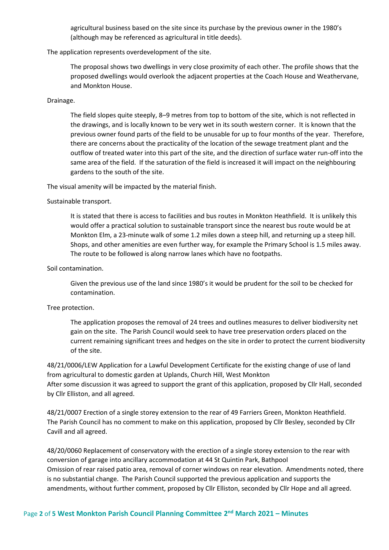agricultural business based on the site since its purchase by the previous owner in the 1980's (although may be referenced as agricultural in title deeds).

The application represents overdevelopment of the site.

The proposal shows two dwellings in very close proximity of each other. The profile shows that the proposed dwellings would overlook the adjacent properties at the Coach House and Weathervane, and Monkton House.

#### Drainage.

The field slopes quite steeply, 8–9 metres from top to bottom of the site, which is not reflected in the drawings, and is locally known to be very wet in its south western corner. It is known that the previous owner found parts of the field to be unusable for up to four months of the year. Therefore, there are concerns about the practicality of the location of the sewage treatment plant and the outflow of treated water into this part of the site, and the direction of surface water run-off into the same area of the field. If the saturation of the field is increased it will impact on the neighbouring gardens to the south of the site.

The visual amenity will be impacted by the material finish.

### Sustainable transport.

It is stated that there is access to facilities and bus routes in Monkton Heathfield. It is unlikely this would offer a practical solution to sustainable transport since the nearest bus route would be at Monkton Elm, a 23-minute walk of some 1.2 miles down a steep hill, and returning up a steep hill. Shops, and other amenities are even further way, for example the Primary School is 1.5 miles away. The route to be followed is along narrow lanes which have no footpaths.

### Soil contamination.

Given the previous use of the land since 1980's it would be prudent for the soil to be checked for contamination.

#### Tree protection.

The application proposes the removal of 24 trees and outlines measures to deliver biodiversity net gain on the site. The Parish Council would seek to have tree preservation orders placed on the current remaining significant trees and hedges on the site in order to protect the current biodiversity of the site.

48/21/0006/LEW Application for a Lawful Development Certificate for the existing change of use of land from agricultural to domestic garden at Uplands, Church Hill, West Monkton After some discussion it was agreed to support the grant of this application, proposed by Cllr Hall, seconded by Cllr Elliston, and all agreed.

48/21/0007 Erection of a single storey extension to the rear of 49 Farriers Green, Monkton Heathfield. The Parish Council has no comment to make on this application, proposed by Cllr Besley, seconded by Cllr Cavill and all agreed.

48/20/0060 Replacement of conservatory with the erection of a single storey extension to the rear with conversion of garage into ancillary accommodation at 44 St Quintin Park, Bathpool Omission of rear raised patio area, removal of corner windows on rear elevation. Amendments noted, there is no substantial change. The Parish Council supported the previous application and supports the amendments, without further comment, proposed by Cllr Elliston, seconded by Cllr Hope and all agreed.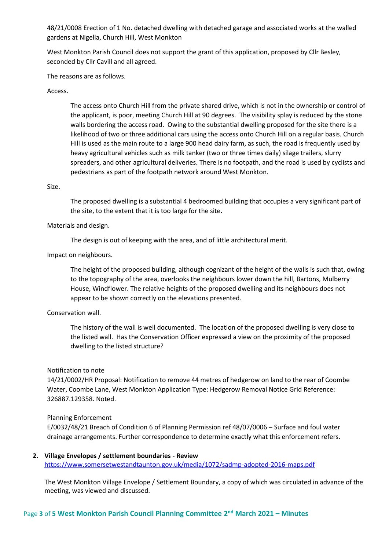48/21/0008 Erection of 1 No. detached dwelling with detached garage and associated works at the walled gardens at Nigella, Church Hill, West Monkton

West Monkton Parish Council does not support the grant of this application, proposed by Cllr Besley, seconded by Cllr Cavill and all agreed.

The reasons are as follows.

### Access.

The access onto Church Hill from the private shared drive, which is not in the ownership or control of the applicant, is poor, meeting Church Hill at 90 degrees. The visibility splay is reduced by the stone walls bordering the access road. Owing to the substantial dwelling proposed for the site there is a likelihood of two or three additional cars using the access onto Church Hill on a regular basis. Church Hill is used as the main route to a large 900 head dairy farm, as such, the road is frequently used by heavy agricultural vehicles such as milk tanker (two or three times daily) silage trailers, slurry spreaders, and other agricultural deliveries. There is no footpath, and the road is used by cyclists and pedestrians as part of the footpath network around West Monkton.

#### Size.

The proposed dwelling is a substantial 4 bedroomed building that occupies a very significant part of the site, to the extent that it is too large for the site.

### Materials and design.

The design is out of keeping with the area, and of little architectural merit.

### Impact on neighbours.

The height of the proposed building, although cognizant of the height of the walls is such that, owing to the topography of the area, overlooks the neighbours lower down the hill, Bartons, Mulberry House, Windflower. The relative heights of the proposed dwelling and its neighbours does not appear to be shown correctly on the elevations presented.

### Conservation wall.

The history of the wall is well documented. The location of the proposed dwelling is very close to the listed wall. Has the Conservation Officer expressed a view on the proximity of the proposed dwelling to the listed structure?

#### Notification to note

14/21/0002/HR Proposal: Notification to remove 44 metres of hedgerow on land to the rear of Coombe Water, Coombe Lane, West Monkton Application Type: Hedgerow Removal Notice Grid Reference: 326887.129358. Noted.

#### Planning Enforcement

E/0032/48/21 Breach of Condition 6 of Planning Permission ref 48/07/0006 – Surface and foul water drainage arrangements. Further correspondence to determine exactly what this enforcement refers.

**2. Village Envelopes / settlement boundaries - Review** <https://www.somersetwestandtaunton.gov.uk/media/1072/sadmp-adopted-2016-maps.pdf>

The West Monkton Village Envelope / Settlement Boundary, a copy of which was circulated in advance of the meeting, was viewed and discussed.

# Page **3** of **5 West Monkton Parish Council Planning Committee 2 nd March 2021 – Minutes**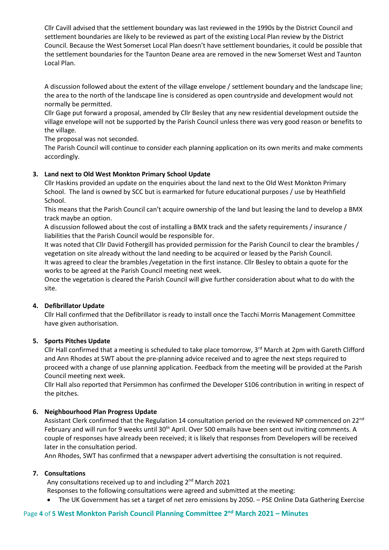Cllr Cavill advised that the settlement boundary was last reviewed in the 1990s by the District Council and settlement boundaries are likely to be reviewed as part of the existing Local Plan review by the District Council. Because the West Somerset Local Plan doesn't have settlement boundaries, it could be possible that the settlement boundaries for the Taunton Deane area are removed in the new Somerset West and Taunton Local Plan.

A discussion followed about the extent of the village envelope / settlement boundary and the landscape line; the area to the north of the landscape line is considered as open countryside and development would not normally be permitted.

Cllr Gage put forward a proposal, amended by Cllr Besley that any new residential development outside the village envelope will not be supported by the Parish Council unless there was very good reason or benefits to the village.

The proposal was not seconded.

The Parish Council will continue to consider each planning application on its own merits and make comments accordingly.

# **3. Land next to Old West Monkton Primary School Update**

Cllr Haskins provided an update on the enquiries about the land next to the Old West Monkton Primary School. The land is owned by SCC but is earmarked for future educational purposes / use by Heathfield School.

This means that the Parish Council can't acquire ownership of the land but leasing the land to develop a BMX track maybe an option.

A discussion followed about the cost of installing a BMX track and the safety requirements / insurance / liabilities that the Parish Council would be responsible for.

It was noted that Cllr David Fothergill has provided permission for the Parish Council to clear the brambles / vegetation on site already without the land needing to be acquired or leased by the Parish Council. It was agreed to clear the brambles /vegetation in the first instance. Cllr Besley to obtain a quote for the works to be agreed at the Parish Council meeting next week.

Once the vegetation is cleared the Parish Council will give further consideration about what to do with the site.

# **4. Defibrillator Update**

Cllr Hall confirmed that the Defibrillator is ready to install once the Tacchi Morris Management Committee have given authorisation.

# **5. Sports Pitches Update**

Cllr Hall confirmed that a meeting is scheduled to take place tomorrow, 3<sup>rd</sup> March at 2pm with Gareth Clifford and Ann Rhodes at SWT about the pre-planning advice received and to agree the next steps required to proceed with a change of use planning application. Feedback from the meeting will be provided at the Parish Council meeting next week.

Cllr Hall also reported that Persimmon has confirmed the Developer S106 contribution in writing in respect of the pitches.

# **6. Neighbourhood Plan Progress Update**

Assistant Clerk confirmed that the Regulation 14 consultation period on the reviewed NP commenced on 22<sup>nd</sup> February and will run for 9 weeks until 30<sup>th</sup> April. Over 500 emails have been sent out inviting comments. A couple of responses have already been received; it is likely that responses from Developers will be received later in the consultation period.

Ann Rhodes, SWT has confirmed that a newspaper advert advertising the consultation is not required.

# **7. Consultations**

Any consultations received up to and including 2<sup>nd</sup> March 2021

- Responses to the following consultations were agreed and submitted at the meeting:
- The UK Government has set a target of net zero emissions by 2050. PSE Online Data Gathering Exercise

# Page **4** of **5 West Monkton Parish Council Planning Committee 2 nd March 2021 – Minutes**